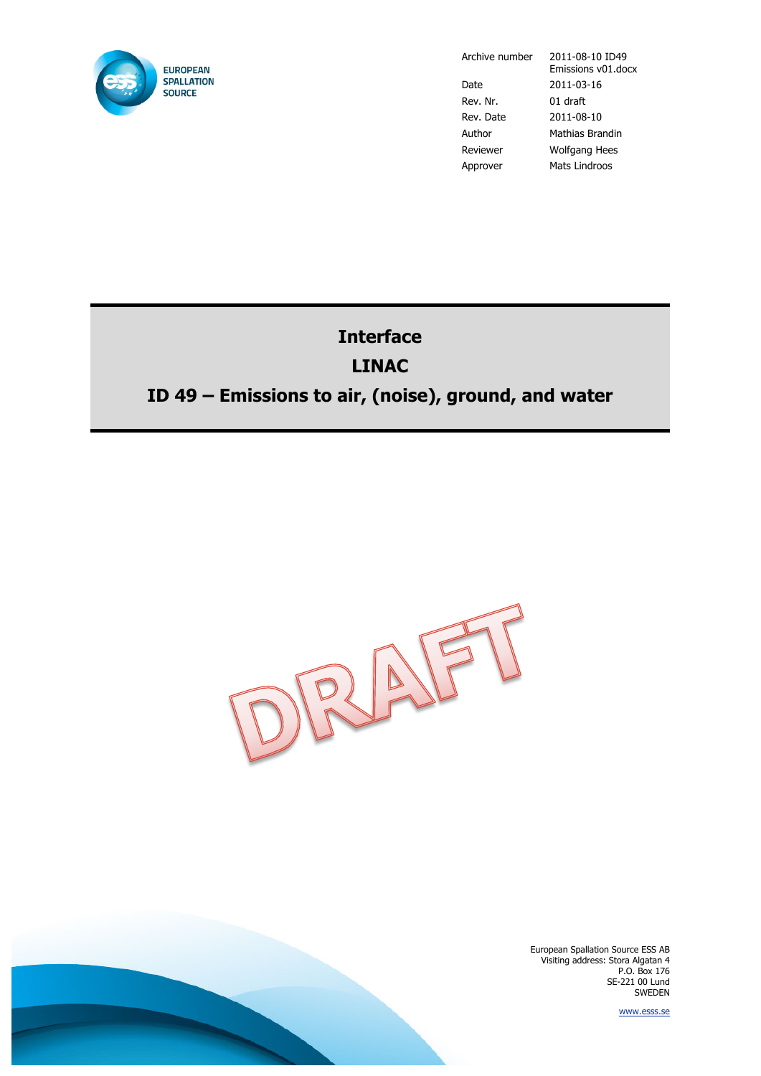

Date 2011-03-16 Rev. Nr. 01 draft Rev. Date 2011-08-10 Author Mathias Brandin Reviewer Wolfgang Hees Approver Mats Lindroos

Archive number 2011-08-10 ID49 Emissions v01.docx

# **Interface LINAC ID 49 – Emissions to air, (noise), ground, and water**



European Spallation Source ESS AB Visiting address: Stora Algatan 4 P.O. Box 176 SE-221 00 Lund SWEDEN

www.esss.se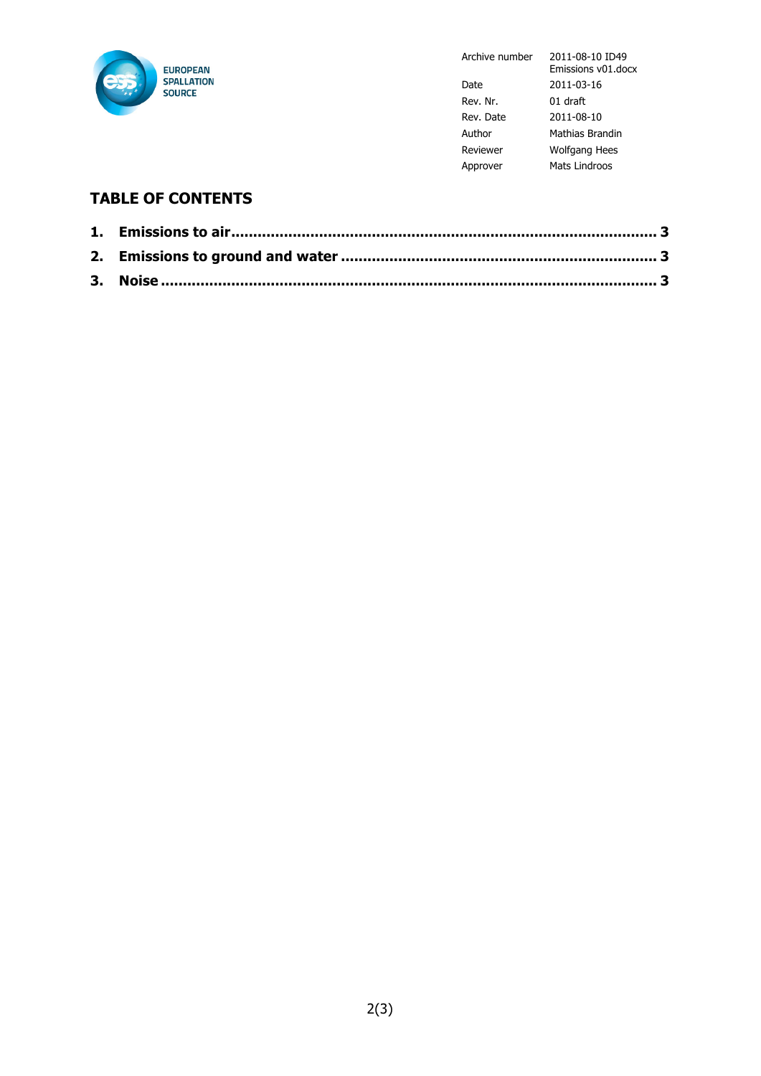

Archive number 2011-08-10 ID49

|           | Emissions v01.docx |
|-----------|--------------------|
| Date      | 2011-03-16         |
| Rev. Nr.  | 01 draft           |
| Rev. Date | 2011-08-10         |
| Author    | Mathias Brandin    |
| Reviewer  | Wolfgang Hees      |
| Approver  | Mats Lindroos      |

### **TABLE OF CONTENTS**